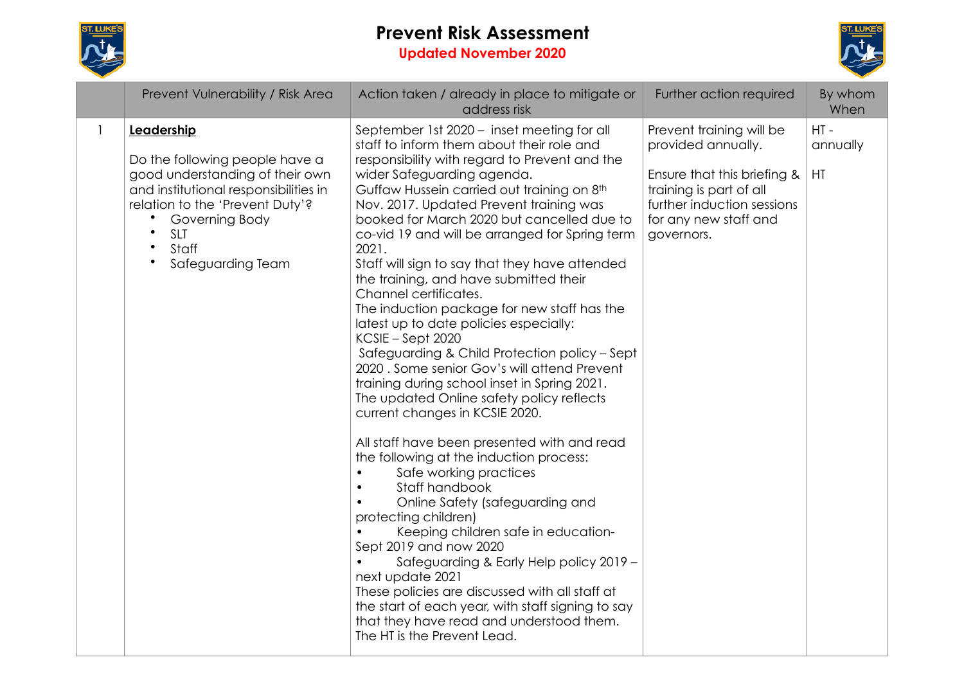

# **Prevent Risk Assessment Updated November 2020**



|              | Prevent Vulnerability / Risk Area                                                                                                                                                                                                                                | Action taken / already in place to mitigate or<br>address risk                                                                                                                                                                                                                                                                                                                                                                                                                                                                                                                                                                                                                                                                                                                                                                                                                                                                                                                                                                                                                                                                                                                                                                                                                                                                                                             | Further action required                                                                                                                                                       | By whom<br>When          |
|--------------|------------------------------------------------------------------------------------------------------------------------------------------------------------------------------------------------------------------------------------------------------------------|----------------------------------------------------------------------------------------------------------------------------------------------------------------------------------------------------------------------------------------------------------------------------------------------------------------------------------------------------------------------------------------------------------------------------------------------------------------------------------------------------------------------------------------------------------------------------------------------------------------------------------------------------------------------------------------------------------------------------------------------------------------------------------------------------------------------------------------------------------------------------------------------------------------------------------------------------------------------------------------------------------------------------------------------------------------------------------------------------------------------------------------------------------------------------------------------------------------------------------------------------------------------------------------------------------------------------------------------------------------------------|-------------------------------------------------------------------------------------------------------------------------------------------------------------------------------|--------------------------|
| $\mathbf{1}$ | Leadership<br>Do the following people have a<br>good understanding of their own<br>and institutional responsibilities in<br>relation to the 'Prevent Duty'?<br>Governing Body<br>$\bullet$<br><b>SLT</b><br>Staff<br>$\bullet$<br>Safeguarding Team<br>$\bullet$ | September 1st 2020 - inset meeting for all<br>staff to inform them about their role and<br>responsibility with regard to Prevent and the<br>wider Safeguarding agenda.<br>Guffaw Hussein carried out training on 8th<br>Nov. 2017. Updated Prevent training was<br>booked for March 2020 but cancelled due to<br>co-vid 19 and will be arranged for Spring term<br>2021.<br>Staff will sign to say that they have attended<br>the training, and have submitted their<br>Channel certificates.<br>The induction package for new staff has the<br>latest up to date policies especially:<br>KCSIE – Sept 2020<br>Safeguarding & Child Protection policy - Sept<br>2020. Some senior Gov's will attend Prevent<br>training during school inset in Spring 2021.<br>The updated Online safety policy reflects<br>current changes in KCSIE 2020.<br>All staff have been presented with and read<br>the following at the induction process:<br>Safe working practices<br>Staff handbook<br>Online Safety (safeguarding and<br>protecting children)<br>Keeping children safe in education-<br>Sept 2019 and now 2020<br>Safeguarding & Early Help policy 2019 -<br>$\bullet$<br>next update 2021<br>These policies are discussed with all staff at<br>the start of each year, with staff signing to say<br>that they have read and understood them.<br>The HT is the Prevent Lead. | Prevent training will be<br>provided annually.<br>Ensure that this briefing &<br>training is part of all<br>further induction sessions<br>for any new staff and<br>governors. | $HT -$<br>annually<br>HT |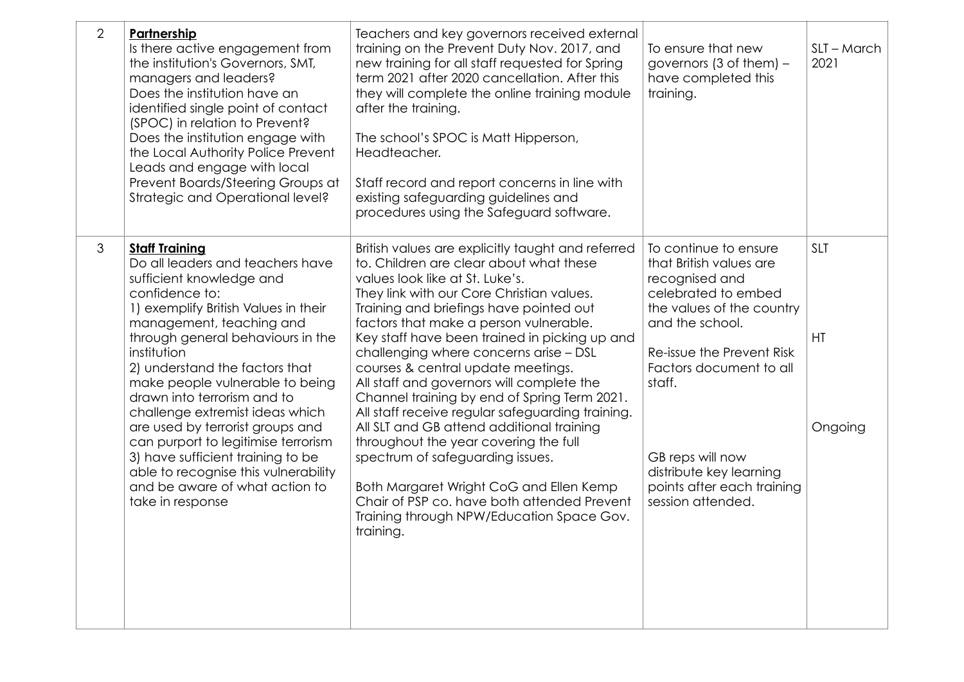| 2 | Partnership<br>Is there active engagement from<br>the institution's Governors, SMT,<br>managers and leaders?<br>Does the institution have an<br>identified single point of contact<br>(SPOC) in relation to Prevent?<br>Does the institution engage with<br>the Local Authority Police Prevent<br>Leads and engage with local<br>Prevent Boards/Steering Groups at<br>Strategic and Operational level?                                                                                                                                                                               | Teachers and key governors received external<br>training on the Prevent Duty Nov. 2017, and<br>new training for all staff requested for Spring<br>term 2021 after 2020 cancellation. After this<br>they will complete the online training module<br>after the training.<br>The school's SPOC is Matt Hipperson,<br>Headteacher.<br>Staff record and report concerns in line with<br>existing safeguarding guidelines and<br>procedures using the Safeguard software.                                                                                                                                                                                                                                                                                                                                                              | To ensure that new<br>governors (3 of them) $-$<br>have completed this<br>training.                                                                                                                                                                                                                           | SLT - March<br>2021         |
|---|--------------------------------------------------------------------------------------------------------------------------------------------------------------------------------------------------------------------------------------------------------------------------------------------------------------------------------------------------------------------------------------------------------------------------------------------------------------------------------------------------------------------------------------------------------------------------------------|-----------------------------------------------------------------------------------------------------------------------------------------------------------------------------------------------------------------------------------------------------------------------------------------------------------------------------------------------------------------------------------------------------------------------------------------------------------------------------------------------------------------------------------------------------------------------------------------------------------------------------------------------------------------------------------------------------------------------------------------------------------------------------------------------------------------------------------|---------------------------------------------------------------------------------------------------------------------------------------------------------------------------------------------------------------------------------------------------------------------------------------------------------------|-----------------------------|
| 3 | <b>Staff Training</b><br>Do all leaders and teachers have<br>sufficient knowledge and<br>confidence to:<br>1) exemplify British Values in their<br>management, teaching and<br>through general behaviours in the<br>institution<br>2) understand the factors that<br>make people vulnerable to being<br>drawn into terrorism and to<br>challenge extremist ideas which<br>are used by terrorist groups and<br>can purport to legitimise terrorism<br>3) have sufficient training to be<br>able to recognise this vulnerability<br>and be aware of what action to<br>take in response | British values are explicitly taught and referred<br>to. Children are clear about what these<br>values look like at St. Luke's.<br>They link with our Core Christian values.<br>Training and briefings have pointed out<br>factors that make a person vulnerable.<br>Key staff have been trained in picking up and<br>challenging where concerns arise - DSL<br>courses & central update meetings.<br>All staff and governors will complete the<br>Channel training by end of Spring Term 2021.<br>All staff receive regular safeguarding training.<br>All SLT and GB attend additional training<br>throughout the year covering the full<br>spectrum of safeguarding issues.<br>Both Margaret Wright CoG and Ellen Kemp<br>Chair of PSP co. have both attended Prevent<br>Training through NPW/Education Space Gov.<br>training. | To continue to ensure<br>that British values are<br>recognised and<br>celebrated to embed<br>the values of the country<br>and the school.<br>Re-issue the Prevent Risk<br>Factors document to all<br>staff.<br>GB reps will now<br>distribute key learning<br>points after each training<br>session attended. | <b>SLT</b><br>HT<br>Ongoing |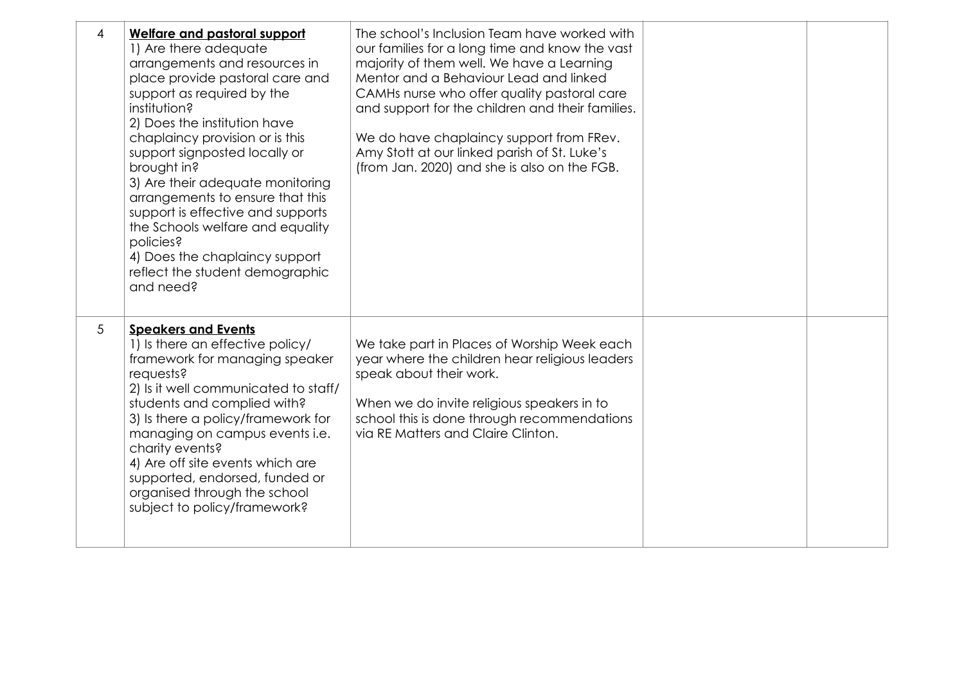| 4 | <b>Welfare and pastoral support</b><br>1) Are there adequate<br>arrangements and resources in<br>place provide pastoral care and<br>support as required by the<br>institution?<br>2) Does the institution have<br>chaplaincy provision or is this<br>support signposted locally or<br>brought in?<br>3) Are their adequate monitoring<br>arrangements to ensure that this<br>support is effective and supports<br>the Schools welfare and equality<br>policies?<br>4) Does the chaplaincy support<br>reflect the student demographic<br>and need? | The school's Inclusion Team have worked with<br>our families for a long time and know the vast<br>majority of them well. We have a Learning<br>Mentor and a Behaviour Lead and linked<br>CAMHs nurse who offer quality pastoral care<br>and support for the children and their families.<br>We do have chaplaincy support from FRev.<br>Amy Stott at our linked parish of St. Luke's<br>(from Jan. 2020) and she is also on the FGB. |  |
|---|---------------------------------------------------------------------------------------------------------------------------------------------------------------------------------------------------------------------------------------------------------------------------------------------------------------------------------------------------------------------------------------------------------------------------------------------------------------------------------------------------------------------------------------------------|--------------------------------------------------------------------------------------------------------------------------------------------------------------------------------------------------------------------------------------------------------------------------------------------------------------------------------------------------------------------------------------------------------------------------------------|--|
| 5 | <b>Speakers and Events</b><br>1) Is there an effective policy/<br>framework for managing speaker<br>requests?<br>2) Is it well communicated to staff/<br>students and complied with?<br>3) Is there a policy/framework for<br>managing on campus events i.e.<br>charity events?<br>4) Are off site events which are<br>supported, endorsed, funded or<br>organised through the school<br>subject to policy/framework?                                                                                                                             | We take part in Places of Worship Week each<br>year where the children hear religious leaders<br>speak about their work.<br>When we do invite religious speakers in to<br>school this is done through recommendations<br>via RE Matters and Claire Clinton.                                                                                                                                                                          |  |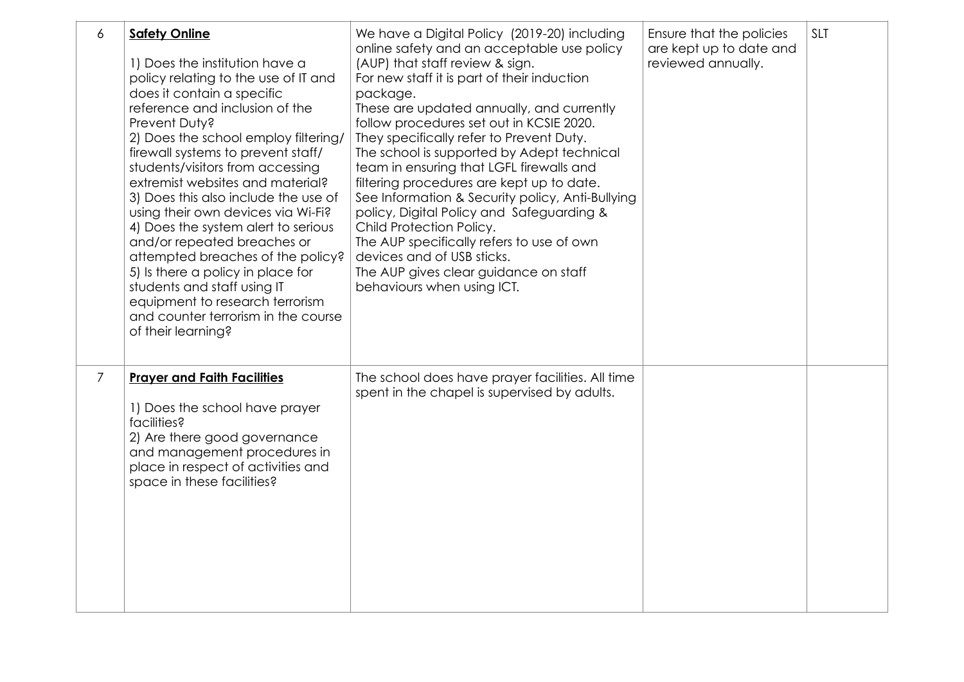| 6 | <b>Safety Online</b><br>1) Does the institution have a<br>policy relating to the use of IT and<br>does it contain a specific<br>reference and inclusion of the<br>Prevent Duty?<br>2) Does the school employ filtering/<br>firewall systems to prevent staff/<br>students/visitors from accessing<br>extremist websites and material?<br>3) Does this also include the use of<br>using their own devices via Wi-Fi?<br>4) Does the system alert to serious<br>and/or repeated breaches or<br>attempted breaches of the policy?<br>5) Is there a policy in place for<br>students and staff using IT<br>equipment to research terrorism<br>and counter terrorism in the course<br>of their learning? | We have a Digital Policy (2019-20) including<br>online safety and an acceptable use policy<br>(AUP) that staff review & sign.<br>For new staff it is part of their induction<br>package.<br>These are updated annually, and currently<br>follow procedures set out in KCSIE 2020.<br>They specifically refer to Prevent Duty.<br>The school is supported by Adept technical<br>team in ensuring that LGFL firewalls and<br>filtering procedures are kept up to date.<br>See Information & Security policy, Anti-Bullying<br>policy, Digital Policy and Safeguarding &<br>Child Protection Policy.<br>The AUP specifically refers to use of own<br>devices and of USB sticks.<br>The AUP gives clear guidance on staff<br>behaviours when using ICT. | Ensure that the policies<br>are kept up to date and<br>reviewed annually. | <b>SLT</b> |
|---|----------------------------------------------------------------------------------------------------------------------------------------------------------------------------------------------------------------------------------------------------------------------------------------------------------------------------------------------------------------------------------------------------------------------------------------------------------------------------------------------------------------------------------------------------------------------------------------------------------------------------------------------------------------------------------------------------|-----------------------------------------------------------------------------------------------------------------------------------------------------------------------------------------------------------------------------------------------------------------------------------------------------------------------------------------------------------------------------------------------------------------------------------------------------------------------------------------------------------------------------------------------------------------------------------------------------------------------------------------------------------------------------------------------------------------------------------------------------|---------------------------------------------------------------------------|------------|
| 7 | <b>Prayer and Faith Facilities</b><br>1) Does the school have prayer<br>facilities?<br>2) Are there good governance<br>and management procedures in<br>place in respect of activities and<br>space in these facilities?                                                                                                                                                                                                                                                                                                                                                                                                                                                                            | The school does have prayer facilities. All time<br>spent in the chapel is supervised by adults.                                                                                                                                                                                                                                                                                                                                                                                                                                                                                                                                                                                                                                                    |                                                                           |            |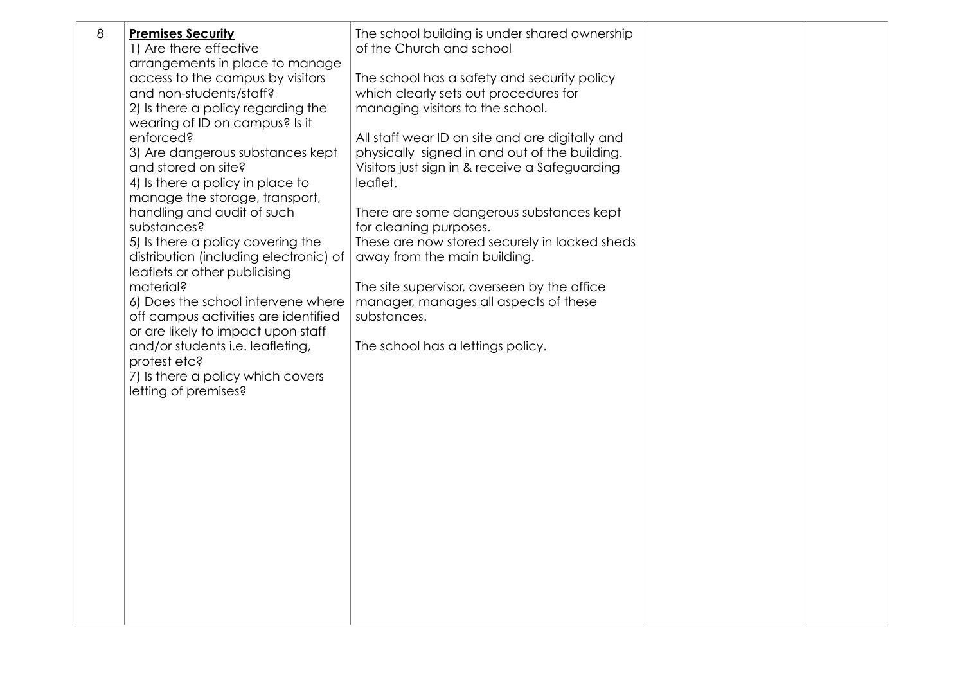| 8 | <b>Premises Security</b><br>1) Are there effective<br>arrangements in place to manage<br>access to the campus by visitors<br>and non-students/staff?<br>2) Is there a policy regarding the<br>wearing of ID on campus? Is it<br>enforced?<br>3) Are dangerous substances kept<br>and stored on site?<br>4) Is there a policy in place to<br>manage the storage, transport,<br>handling and audit of such<br>substances?<br>5) Is there a policy covering the<br>distribution (including electronic) of<br>leaflets or other publicising<br>material?<br>6) Does the school intervene where<br>off campus activities are identified<br>or are likely to impact upon staff<br>and/or students i.e. leafleting,<br>protest etc?<br>7) Is there a policy which covers<br>letting of premises? | The school building is under shared ownership<br>of the Church and school<br>The school has a safety and security policy<br>which clearly sets out procedures for<br>managing visitors to the school.<br>All staff wear ID on site and are digitally and<br>physically signed in and out of the building.<br>Visitors just sign in & receive a Safeguarding<br>leaflet.<br>There are some dangerous substances kept<br>for cleaning purposes.<br>These are now stored securely in locked sheds<br>away from the main building.<br>The site supervisor, overseen by the office<br>manager, manages all aspects of these<br>substances.<br>The school has a lettings policy. |  |
|---|-------------------------------------------------------------------------------------------------------------------------------------------------------------------------------------------------------------------------------------------------------------------------------------------------------------------------------------------------------------------------------------------------------------------------------------------------------------------------------------------------------------------------------------------------------------------------------------------------------------------------------------------------------------------------------------------------------------------------------------------------------------------------------------------|----------------------------------------------------------------------------------------------------------------------------------------------------------------------------------------------------------------------------------------------------------------------------------------------------------------------------------------------------------------------------------------------------------------------------------------------------------------------------------------------------------------------------------------------------------------------------------------------------------------------------------------------------------------------------|--|
|   |                                                                                                                                                                                                                                                                                                                                                                                                                                                                                                                                                                                                                                                                                                                                                                                           |                                                                                                                                                                                                                                                                                                                                                                                                                                                                                                                                                                                                                                                                            |  |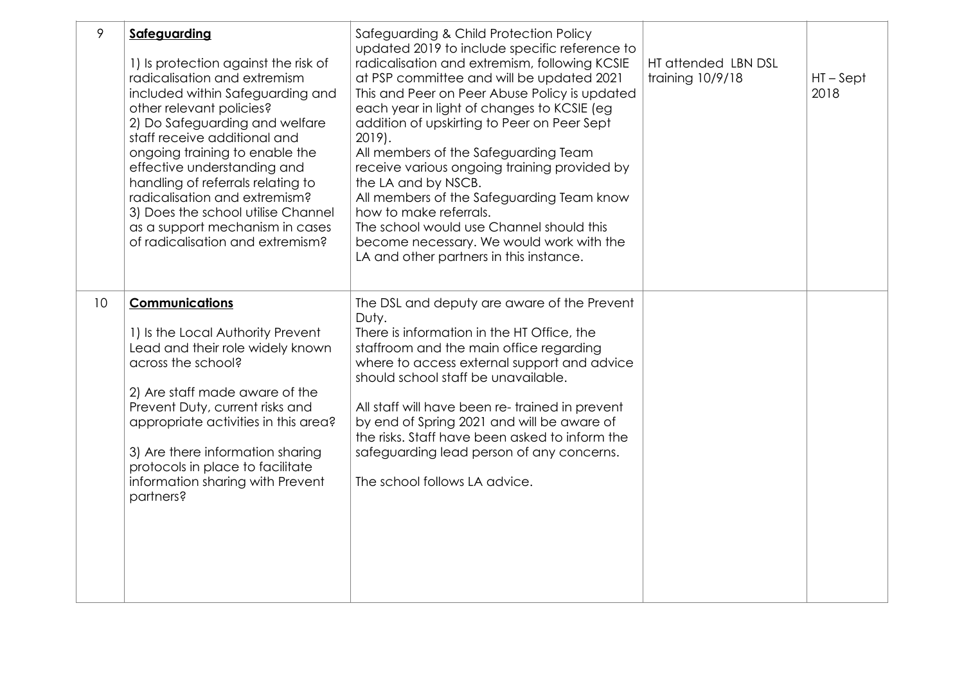| 9  | Safeguarding<br>1) Is protection against the risk of<br>radicalisation and extremism<br>included within Safeguarding and<br>other relevant policies?<br>2) Do Safeguarding and welfare<br>staff receive additional and<br>ongoing training to enable the<br>effective understanding and<br>handling of referrals relating to<br>radicalisation and extremism?<br>3) Does the school utilise Channel<br>as a support mechanism in cases<br>of radicalisation and extremism? | Safeguarding & Child Protection Policy<br>updated 2019 to include specific reference to<br>radicalisation and extremism, following KCSIE<br>at PSP committee and will be updated 2021<br>This and Peer on Peer Abuse Policy is updated<br>each year in light of changes to KCSIE (eg<br>addition of upskirting to Peer on Peer Sept<br>2019).<br>All members of the Safeguarding Team<br>receive various ongoing training provided by<br>the LA and by NSCB.<br>All members of the Safeguarding Team know<br>how to make referrals.<br>The school would use Channel should this<br>become necessary. We would work with the<br>LA and other partners in this instance. | HT attended LBN DSL<br>training 10/9/18 | $HT - Sept$<br>2018 |
|----|----------------------------------------------------------------------------------------------------------------------------------------------------------------------------------------------------------------------------------------------------------------------------------------------------------------------------------------------------------------------------------------------------------------------------------------------------------------------------|------------------------------------------------------------------------------------------------------------------------------------------------------------------------------------------------------------------------------------------------------------------------------------------------------------------------------------------------------------------------------------------------------------------------------------------------------------------------------------------------------------------------------------------------------------------------------------------------------------------------------------------------------------------------|-----------------------------------------|---------------------|
| 10 | <b>Communications</b><br>1) Is the Local Authority Prevent<br>Lead and their role widely known<br>across the school?<br>2) Are staff made aware of the<br>Prevent Duty, current risks and<br>appropriate activities in this area?<br>3) Are there information sharing<br>protocols in place to facilitate<br>information sharing with Prevent<br>partners?                                                                                                                 | The DSL and deputy are aware of the Prevent<br>Duty.<br>There is information in the HT Office, the<br>staffroom and the main office regarding<br>where to access external support and advice<br>should school staff be unavailable.<br>All staff will have been re-trained in prevent<br>by end of Spring 2021 and will be aware of<br>the risks. Staff have been asked to inform the<br>safeguarding lead person of any concerns.<br>The school follows LA advice.                                                                                                                                                                                                    |                                         |                     |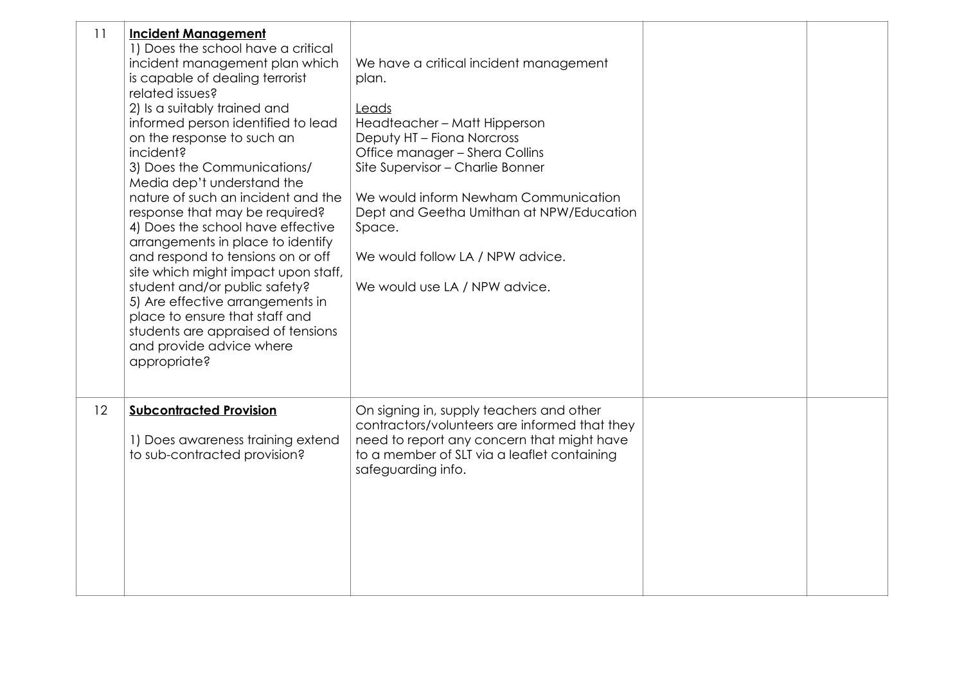| 11 | <b>Incident Management</b><br>1) Does the school have a critical<br>incident management plan which<br>is capable of dealing terrorist<br>related issues?<br>2) Is a suitably trained and<br>informed person identified to lead<br>on the response to such an<br>incident?<br>3) Does the Communications/<br>Media dep't understand the<br>nature of such an incident and the<br>response that may be required?<br>4) Does the school have effective<br>arrangements in place to identify<br>and respond to tensions on or off<br>site which might impact upon staff,<br>student and/or public safety?<br>5) Are effective arrangements in<br>place to ensure that staff and<br>students are appraised of tensions<br>and provide advice where<br>appropriate? | We have a critical incident management<br>plan.<br>Leads<br>Headteacher - Matt Hipperson<br>Deputy HT - Fiona Norcross<br>Office manager - Shera Collins<br>Site Supervisor - Charlie Bonner<br>We would inform Newham Communication<br>Dept and Geetha Umithan at NPW/Education<br>Space.<br>We would follow LA / NPW advice.<br>We would use LA / NPW advice. |  |
|----|---------------------------------------------------------------------------------------------------------------------------------------------------------------------------------------------------------------------------------------------------------------------------------------------------------------------------------------------------------------------------------------------------------------------------------------------------------------------------------------------------------------------------------------------------------------------------------------------------------------------------------------------------------------------------------------------------------------------------------------------------------------|-----------------------------------------------------------------------------------------------------------------------------------------------------------------------------------------------------------------------------------------------------------------------------------------------------------------------------------------------------------------|--|
| 12 | <b>Subcontracted Provision</b><br>1) Does awareness training extend<br>to sub-contracted provision?                                                                                                                                                                                                                                                                                                                                                                                                                                                                                                                                                                                                                                                           | On signing in, supply teachers and other<br>contractors/volunteers are informed that they<br>need to report any concern that might have<br>to a member of SLT via a leaflet containing<br>safeguarding info.                                                                                                                                                    |  |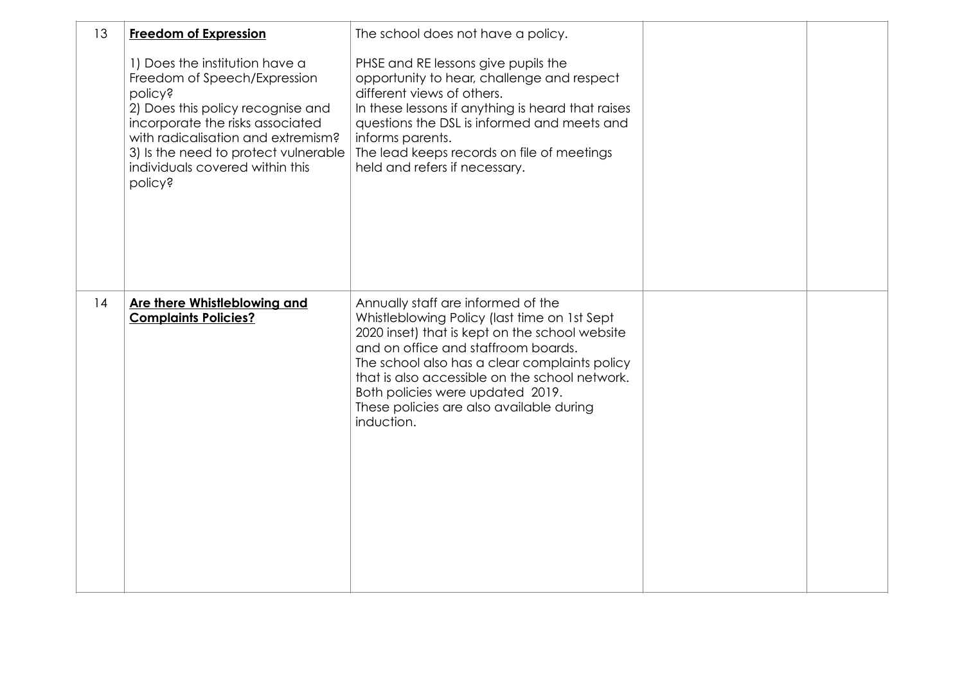| 13 | <b>Freedom of Expression</b>                                                                                                                                                                                                                                                          | The school does not have a policy.                                                                                                                                                                                                                                                                                                                                           |  |
|----|---------------------------------------------------------------------------------------------------------------------------------------------------------------------------------------------------------------------------------------------------------------------------------------|------------------------------------------------------------------------------------------------------------------------------------------------------------------------------------------------------------------------------------------------------------------------------------------------------------------------------------------------------------------------------|--|
|    | 1) Does the institution have a<br>Freedom of Speech/Expression<br><b>policy?</b><br>2) Does this policy recognise and<br>incorporate the risks associated<br>with radicalisation and extremism?<br>3) Is the need to protect vulnerable<br>individuals covered within this<br>policy? | PHSE and RE lessons give pupils the<br>opportunity to hear, challenge and respect<br>different views of others.<br>In these lessons if anything is heard that raises<br>questions the DSL is informed and meets and<br>informs parents.<br>The lead keeps records on file of meetings<br>held and refers if necessary.                                                       |  |
| 14 | Are there Whistleblowing and<br><b>Complaints Policies?</b>                                                                                                                                                                                                                           | Annually staff are informed of the<br>Whistleblowing Policy (last time on 1st Sept<br>2020 inset) that is kept on the school website<br>and on office and staffroom boards.<br>The school also has a clear complaints policy<br>that is also accessible on the school network.<br>Both policies were updated 2019.<br>These policies are also available during<br>induction. |  |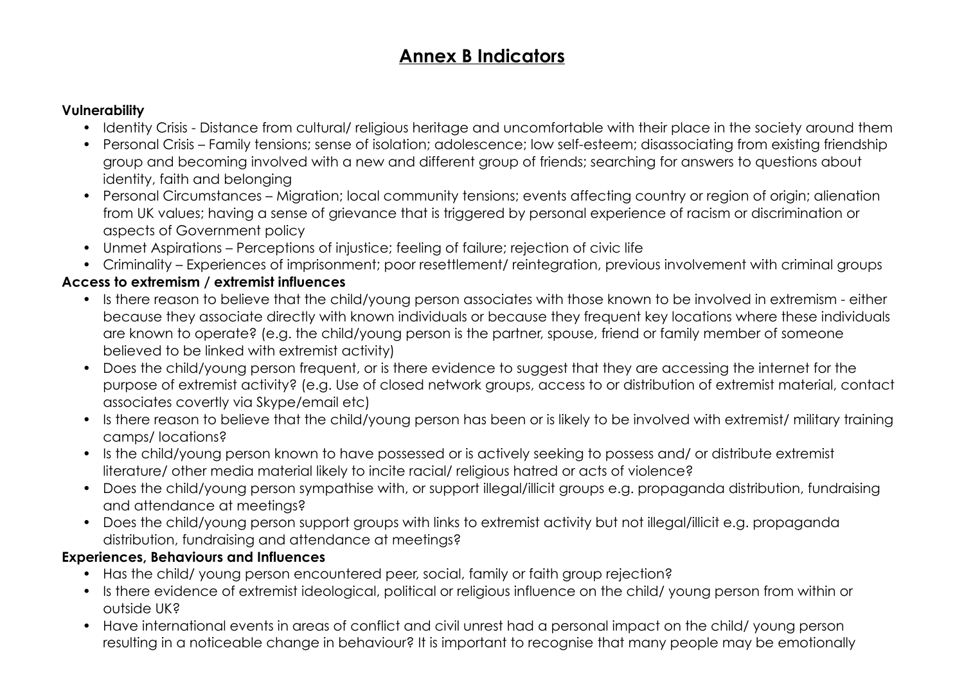# **Annex B Indicators**

#### **Vulnerability**

- Identity Crisis Distance from cultural/ religious heritage and uncomfortable with their place in the society around them
- Personal Crisis Family tensions; sense of isolation; adolescence; low self-esteem; disassociating from existing friendship group and becoming involved with a new and different group of friends; searching for answers to questions about identity, faith and belonging
- Personal Circumstances Migration; local community tensions; events affecting country or region of origin; alienation from UK values; having a sense of grievance that is triggered by personal experience of racism or discrimination or aspects of Government policy
- Unmet Aspirations Perceptions of injustice; feeling of failure; rejection of civic life
- Criminality Experiences of imprisonment; poor resettlement/ reintegration, previous involvement with criminal groups

### **Access to extremism / extremist influences**

- Is there reason to believe that the child/young person associates with those known to be involved in extremism either because they associate directly with known individuals or because they frequent key locations where these individuals are known to operate? (e.g. the child/young person is the partner, spouse, friend or family member of someone believed to be linked with extremist activity)
- Does the child/young person frequent, or is there evidence to suggest that they are accessing the internet for the purpose of extremist activity? (e.g. Use of closed network groups, access to or distribution of extremist material, contact associates covertly via Skype/email etc)
- Is there reason to believe that the child/young person has been or is likely to be involved with extremist/ military training camps/ locations?
- Is the child/young person known to have possessed or is actively seeking to possess and/ or distribute extremist literature/ other media material likely to incite racial/ religious hatred or acts of violence?
- Does the child/young person sympathise with, or support illegal/illicit groups e.g. propaganda distribution, fundraising and attendance at meetings?
- Does the child/young person support groups with links to extremist activity but not illegal/illicit e.g. propaganda distribution, fundraising and attendance at meetings?

#### **Experiences, Behaviours and Influences**

- Has the child/ young person encountered peer, social, family or faith group rejection?
- Is there evidence of extremist ideological, political or religious influence on the child/ young person from within or outside UK?
- Have international events in areas of conflict and civil unrest had a personal impact on the child/ young person resulting in a noticeable change in behaviour? It is important to recognise that many people may be emotionally